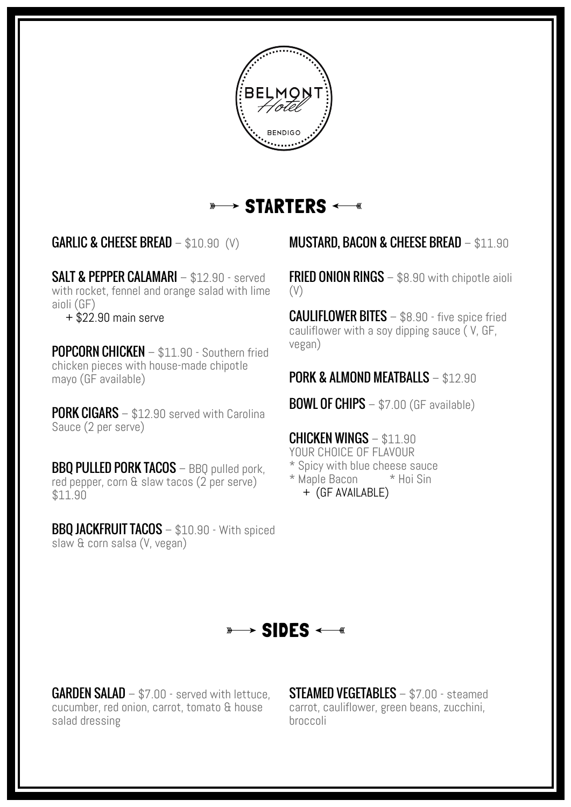

#### $\rightarrow$  STARTERS  $\longleftarrow$  $\frac{1}{2}$

SALT & PEPPER CALAMARI – \$12.90 - served with rocket, fennel and orange salad with lime aioli (GF)

 $+$  \$22.90 main serve

POPCORN CHICKEN – \$11.90 - Southern fried chicken pieces with house-made chipotle mayo (GF available)

**PORK CIGARS** – \$12.90 served with Carolina Sauce (2 per serve)

BBO PULLED PORK TACOS - BBO pulled pork, red pepper, corn & slaw tacos (2 per serve)  $$11.90$ 

BBQ JACKFRUIT TACOS - \$10.90 - With spiced slaw & corn salsa (V, vegan)

### GARLIC & CHEESE BREAD – \$10.90 (V) MUSTARD, BACON & CHEESE BREAD – \$11.90

FRIED ONION RINGS – \$8.90 with chipotle aioli (V)

**CAULIFLOWER BITES** – \$8.90 - five spice fried cauliflower with a soy dipping sauce ( V, GF, vegan)

#### PORK & ALMOND MEATBALLS - \$12.90

**BOWL OF CHIPS**  $-$  \$7.00 (GF available)

CHICKEN WINGS – \$11.90 YOUR CHOICE OF FLAVOUR \* Spicy with blue cheese sauce \* Maple Bacon \* Hoi Sin + (GF AVAILABLE)

## $\longrightarrow$  SIDES  $\leftarrow$

**GARDEN SALAD** – \$7.00 - served with lettuce, cucumber, red onion, carrot, tomato & house salad dressing

STEAMED VEGETABLES – \$7.00 - steamed carrot, cauliflower, green beans, zucchini, broccoli